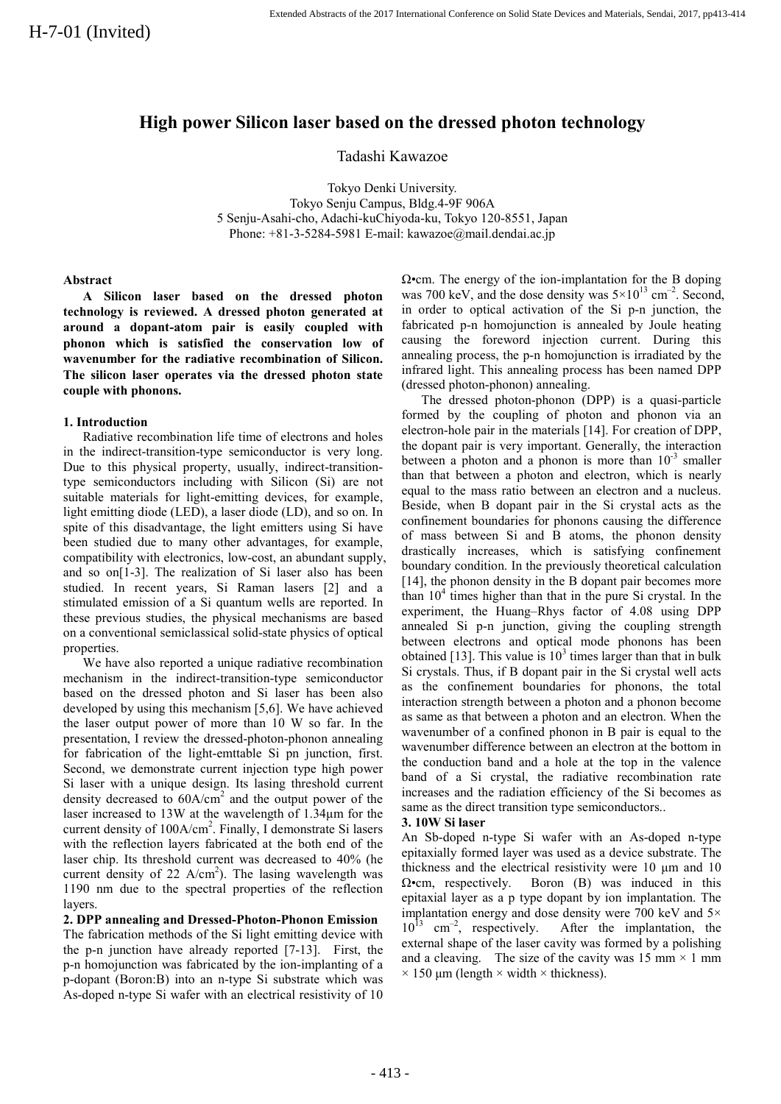# High power Silicon laser based on the dressed photon technology

Tadashi Kawazoe

Tokyo Denki University. Tokyo Senju Campus, Bldg.4-9F 906A 5 Senju-Asahi-cho, Adachi-kuChiyoda-ku, Tokyo 120-8551, Japan Phone: +81-3-5284-5981 E-mail: kawazoe@mail.dendai.ac.jp

# Abstract

A Silicon laser based on the dressed photon technology is reviewed. A dressed photon generated at around a dopant-atom pair is easily coupled with phonon which is satisfied the conservation low of wavenumber for the radiative recombination of Silicon. The silicon laser operates via the dressed photon state couple with phonons.

# 1. Introduction

Radiative recombination life time of electrons and holes in the indirect-transition-type semiconductor is very long. Due to this physical property, usually, indirect-transitiontype semiconductors including with Silicon (Si) are not suitable materials for light-emitting devices, for example, light emitting diode (LED), a laser diode (LD), and so on. In spite of this disadvantage, the light emitters using Si have been studied due to many other advantages, for example, compatibility with electronics, low-cost, an abundant supply, and so on[1-3]. The realization of Si laser also has been studied. In recent years, Si Raman lasers [2] and a stimulated emission of a Si quantum wells are reported. In these previous studies, the physical mechanisms are based on a conventional semiclassical solid-state physics of optical properties.

We have also reported a unique radiative recombination mechanism in the indirect-transition-type semiconductor based on the dressed photon and Si laser has been also developed by using this mechanism [5,6]. We have achieved the laser output power of more than 10 W so far. In the presentation, I review the dressed-photon-phonon annealing for fabrication of the light-emttable Si pn junction, first. Second, we demonstrate current injection type high power Si laser with a unique design. Its lasing threshold current density decreased to  $60A/cm<sup>2</sup>$  and the output power of the laser increased to 13W at the wavelength of 1.34μm for the current density of 100A/cm<sup>2</sup>. Finally, I demonstrate Si lasers with the reflection layers fabricated at the both end of the laser chip. Its threshold current was decreased to 40% (he current density of 22  $A/cm<sup>2</sup>$ ). The lasing wavelength was 1190 nm due to the spectral properties of the reflection layers.

2. DPP annealing and Dressed-Photon-Phonon Emission The fabrication methods of the Si light emitting device with the p-n junction have already reported [7-13]. First, the p-n homojunction was fabricated by the ion-implanting of a p-dopant (Boron:B) into an n-type Si substrate which was As-doped n-type Si wafer with an electrical resistivity of 10  $\Omega$ •cm. The energy of the ion-implantation for the B doping was 700 keV, and the dose density was  $5 \times 10^{13}$  cm<sup>-2</sup>. Second, in order to optical activation of the Si p-n junction, the fabricated p-n homojunction is annealed by Joule heating causing the foreword injection current. During this annealing process, the p-n homojunction is irradiated by the infrared light. This annealing process has been named DPP (dressed photon-phonon) annealing.

The dressed photon-phonon (DPP) is a quasi-particle formed by the coupling of photon and phonon via an electron-hole pair in the materials [14]. For creation of DPP, the dopant pair is very important. Generally, the interaction between a photon and a phonon is more than  $10^{-3}$  smaller than that between a photon and electron, which is nearly equal to the mass ratio between an electron and a nucleus. Beside, when B dopant pair in the Si crystal acts as the confinement boundaries for phonons causing the difference of mass between Si and B atoms, the phonon density drastically increases, which is satisfying confinement boundary condition. In the previously theoretical calculation [14], the phonon density in the B dopant pair becomes more than  $10<sup>4</sup>$  times higher than that in the pure Si crystal. In the experiment, the Huang–Rhys factor of 4.08 using DPP annealed Si p-n junction, giving the coupling strength between electrons and optical mode phonons has been obtained [13]. This value is  $10<sup>3</sup>$  times larger than that in bulk Si crystals. Thus, if B dopant pair in the Si crystal well acts as the confinement boundaries for phonons, the total interaction strength between a photon and a phonon become as same as that between a photon and an electron. When the wavenumber of a confined phonon in B pair is equal to the wavenumber difference between an electron at the bottom in the conduction band and a hole at the top in the valence band of a Si crystal, the radiative recombination rate increases and the radiation efficiency of the Si becomes as same as the direct transition type semiconductors..

# 3. 10W Si laser

An Sb-doped n-type Si wafer with an As-doped n-type epitaxially formed layer was used as a device substrate. The thickness and the electrical resistivity were 10 μm and 10  $\Omega$ •cm, respectively. Boron (B) was induced in this epitaxial layer as a p type dopant by ion implantation. The implantation energy and dose density were 700 keV and 5×  $10^{13}$  cm<sup>-2</sup>, respectively. After the implantation, the external shape of the laser cavity was formed by a polishing and a cleaving. The size of the cavity was 15 mm  $\times$  1 mm  $\times$  150 μm (length  $\times$  width  $\times$  thickness).